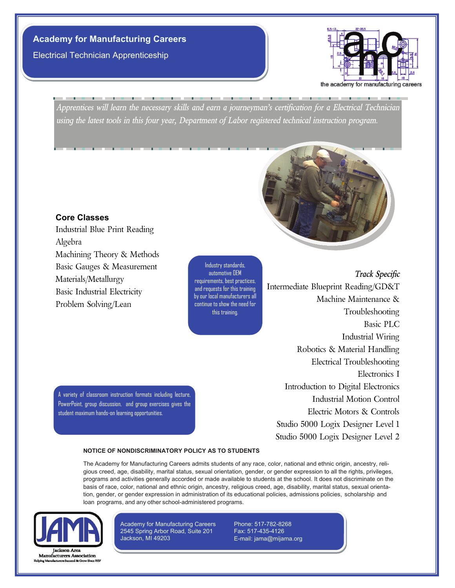# **Academy for Manufacturing Careers**

Electrical Technician Apprenticeship



*Apprentices will learn the necessary skills and earn a journeyman's certification for a Electrical Technician using the latest tools in this four year, Department of Labor registered technical instruction program.*



#### **Core Classes**

Industrial Blue Print Reading Algebra Machining Theory & Methods Basic Gauges & Measurement Materials/Metallurgy Basic Industrial Electricity Problem Solving/Lean

A variety of classroom instruction formats including lecture, PowerPoint, group discussion, and group exercises gives the

student maximum hands-on learning opportunities.

Industry standards, automotive OEM requirements, best practices, and requests for this training by our local manufacturers all continue to show the need for this training.

*Track Specific* Intermediate Blueprint Reading/GD&T Machine Maintenance & Troubleshooting Basic PLC Industrial Wiring Robotics & Material Handling Electrical Troubleshooting Electronics I Introduction to Digital Electronics Industrial Motion Control Electric Motors & Controls Studio 5000 Logix Designer Level 1 Studio 5000 Logix Designer Level 2

**NOTICE OF NONDISCRIMINATORY POLICY AS TO STUDENTS** 

The Academy for Manufacturing Careers admits students of any race, color, national and ethnic origin, ancestry, religious creed, age, disability, marital status, sexual orientation, gender, or gender expression to all the rights, privileges, programs and activities generally accorded or made available to students at the school. It does not discriminate on the basis of race, color, national and ethnic origin, ancestry, religious creed, age, disability, marital status, sexual orientation, gender, or gender expression in administration of its educational policies, admissions policies, scholarship and loan programs, and any other school-administered programs.



**Manufacturers Association** 

Academy for Manufacturing Careers 2545 Spring Arbor Road, Suite 201 Jackson, MI 49203

Phone: 517-782-8268 Fax: 517-435-4126 E-mail: jama@mijama.org